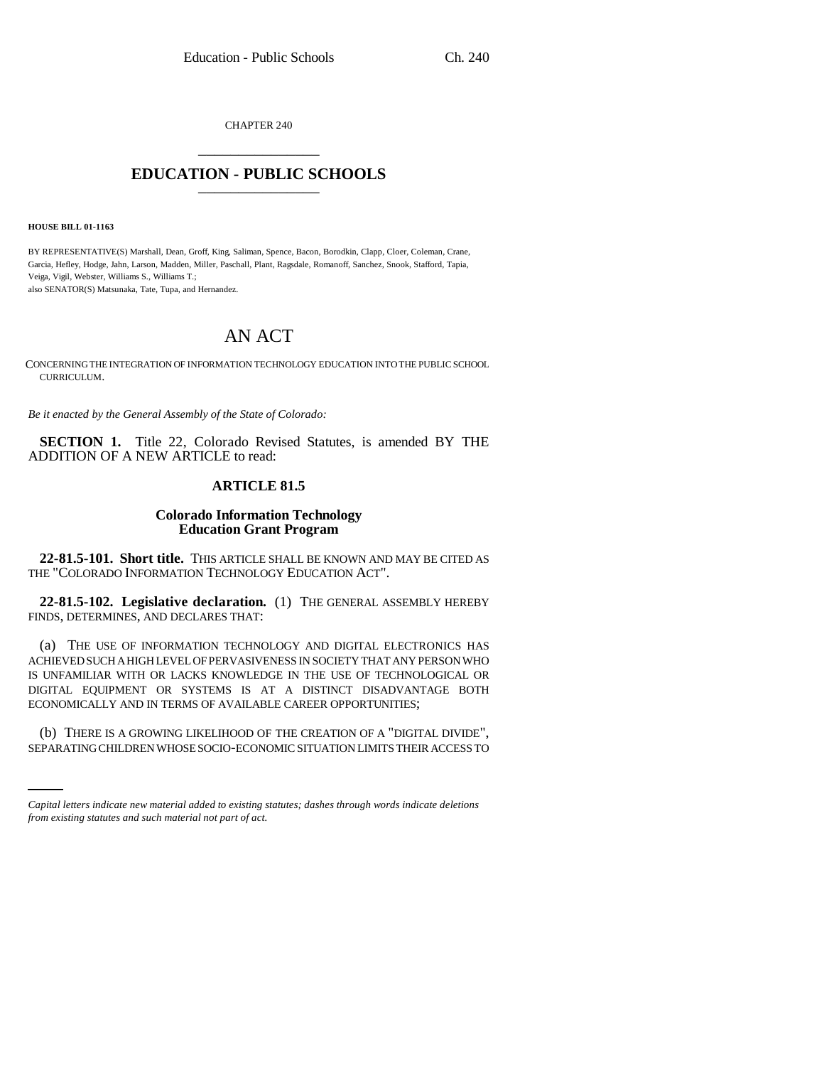CHAPTER 240 \_\_\_\_\_\_\_\_\_\_\_\_\_\_\_

## **EDUCATION - PUBLIC SCHOOLS** \_\_\_\_\_\_\_\_\_\_\_\_\_\_\_

**HOUSE BILL 01-1163**

BY REPRESENTATIVE(S) Marshall, Dean, Groff, King, Saliman, Spence, Bacon, Borodkin, Clapp, Cloer, Coleman, Crane, Garcia, Hefley, Hodge, Jahn, Larson, Madden, Miller, Paschall, Plant, Ragsdale, Romanoff, Sanchez, Snook, Stafford, Tapia, Veiga, Vigil, Webster, Williams S., Williams T.; also SENATOR(S) Matsunaka, Tate, Tupa, and Hernandez.

# AN ACT

CONCERNING THE INTEGRATION OF INFORMATION TECHNOLOGY EDUCATION INTO THE PUBLIC SCHOOL CURRICULUM.

*Be it enacted by the General Assembly of the State of Colorado:*

**SECTION 1.** Title 22, Colorado Revised Statutes, is amended BY THE ADDITION OF A NEW ARTICLE to read:

## **ARTICLE 81.5**

### **Colorado Information Technology Education Grant Program**

**22-81.5-101. Short title.** THIS ARTICLE SHALL BE KNOWN AND MAY BE CITED AS THE "COLORADO INFORMATION TECHNOLOGY EDUCATION ACT".

**22-81.5-102. Legislative declaration.** (1) THE GENERAL ASSEMBLY HEREBY FINDS, DETERMINES, AND DECLARES THAT:

(a) THE USE OF INFORMATION TECHNOLOGY AND DIGITAL ELECTRONICS HAS ACHIEVED SUCH A HIGH LEVEL OF PERVASIVENESS IN SOCIETY THAT ANY PERSON WHO IS UNFAMILIAR WITH OR LACKS KNOWLEDGE IN THE USE OF TECHNOLOGICAL OR DIGITAL EQUIPMENT OR SYSTEMS IS AT A DISTINCT DISADVANTAGE BOTH ECONOMICALLY AND IN TERMS OF AVAILABLE CAREER OPPORTUNITIES;

in<br>Salah (b) THERE IS A GROWING LIKELIHOOD OF THE CREATION OF A "DIGITAL DIVIDE", SEPARATING CHILDREN WHOSE SOCIO-ECONOMIC SITUATION LIMITS THEIR ACCESS TO

*Capital letters indicate new material added to existing statutes; dashes through words indicate deletions from existing statutes and such material not part of act.*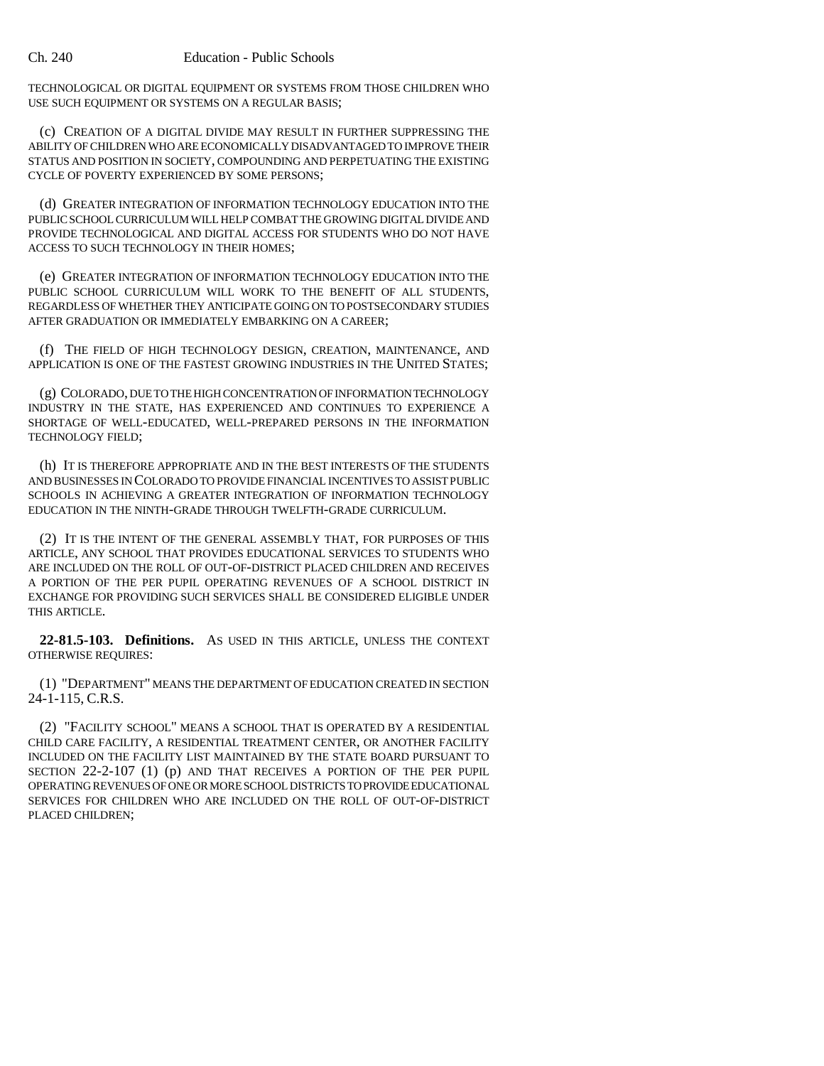TECHNOLOGICAL OR DIGITAL EQUIPMENT OR SYSTEMS FROM THOSE CHILDREN WHO USE SUCH EQUIPMENT OR SYSTEMS ON A REGULAR BASIS;

(c) CREATION OF A DIGITAL DIVIDE MAY RESULT IN FURTHER SUPPRESSING THE ABILITY OF CHILDREN WHO ARE ECONOMICALLY DISADVANTAGED TO IMPROVE THEIR STATUS AND POSITION IN SOCIETY, COMPOUNDING AND PERPETUATING THE EXISTING CYCLE OF POVERTY EXPERIENCED BY SOME PERSONS;

(d) GREATER INTEGRATION OF INFORMATION TECHNOLOGY EDUCATION INTO THE PUBLIC SCHOOL CURRICULUM WILL HELP COMBAT THE GROWING DIGITAL DIVIDE AND PROVIDE TECHNOLOGICAL AND DIGITAL ACCESS FOR STUDENTS WHO DO NOT HAVE ACCESS TO SUCH TECHNOLOGY IN THEIR HOMES;

(e) GREATER INTEGRATION OF INFORMATION TECHNOLOGY EDUCATION INTO THE PUBLIC SCHOOL CURRICULUM WILL WORK TO THE BENEFIT OF ALL STUDENTS, REGARDLESS OF WHETHER THEY ANTICIPATE GOING ON TO POSTSECONDARY STUDIES AFTER GRADUATION OR IMMEDIATELY EMBARKING ON A CAREER;

(f) THE FIELD OF HIGH TECHNOLOGY DESIGN, CREATION, MAINTENANCE, AND APPLICATION IS ONE OF THE FASTEST GROWING INDUSTRIES IN THE UNITED STATES;

(g) COLORADO, DUE TO THE HIGH CONCENTRATION OF INFORMATION TECHNOLOGY INDUSTRY IN THE STATE, HAS EXPERIENCED AND CONTINUES TO EXPERIENCE A SHORTAGE OF WELL-EDUCATED, WELL-PREPARED PERSONS IN THE INFORMATION TECHNOLOGY FIELD;

(h) IT IS THEREFORE APPROPRIATE AND IN THE BEST INTERESTS OF THE STUDENTS AND BUSINESSES IN COLORADO TO PROVIDE FINANCIAL INCENTIVES TO ASSIST PUBLIC SCHOOLS IN ACHIEVING A GREATER INTEGRATION OF INFORMATION TECHNOLOGY EDUCATION IN THE NINTH-GRADE THROUGH TWELFTH-GRADE CURRICULUM.

(2) IT IS THE INTENT OF THE GENERAL ASSEMBLY THAT, FOR PURPOSES OF THIS ARTICLE, ANY SCHOOL THAT PROVIDES EDUCATIONAL SERVICES TO STUDENTS WHO ARE INCLUDED ON THE ROLL OF OUT-OF-DISTRICT PLACED CHILDREN AND RECEIVES A PORTION OF THE PER PUPIL OPERATING REVENUES OF A SCHOOL DISTRICT IN EXCHANGE FOR PROVIDING SUCH SERVICES SHALL BE CONSIDERED ELIGIBLE UNDER THIS ARTICLE.

**22-81.5-103. Definitions.** AS USED IN THIS ARTICLE, UNLESS THE CONTEXT OTHERWISE REQUIRES:

(1) "DEPARTMENT" MEANS THE DEPARTMENT OF EDUCATION CREATED IN SECTION 24-1-115, C.R.S.

(2) "FACILITY SCHOOL" MEANS A SCHOOL THAT IS OPERATED BY A RESIDENTIAL CHILD CARE FACILITY, A RESIDENTIAL TREATMENT CENTER, OR ANOTHER FACILITY INCLUDED ON THE FACILITY LIST MAINTAINED BY THE STATE BOARD PURSUANT TO SECTION 22-2-107 (1) (p) AND THAT RECEIVES A PORTION OF THE PER PUPIL OPERATING REVENUES OF ONE OR MORE SCHOOL DISTRICTS TO PROVIDE EDUCATIONAL SERVICES FOR CHILDREN WHO ARE INCLUDED ON THE ROLL OF OUT-OF-DISTRICT PLACED CHILDREN;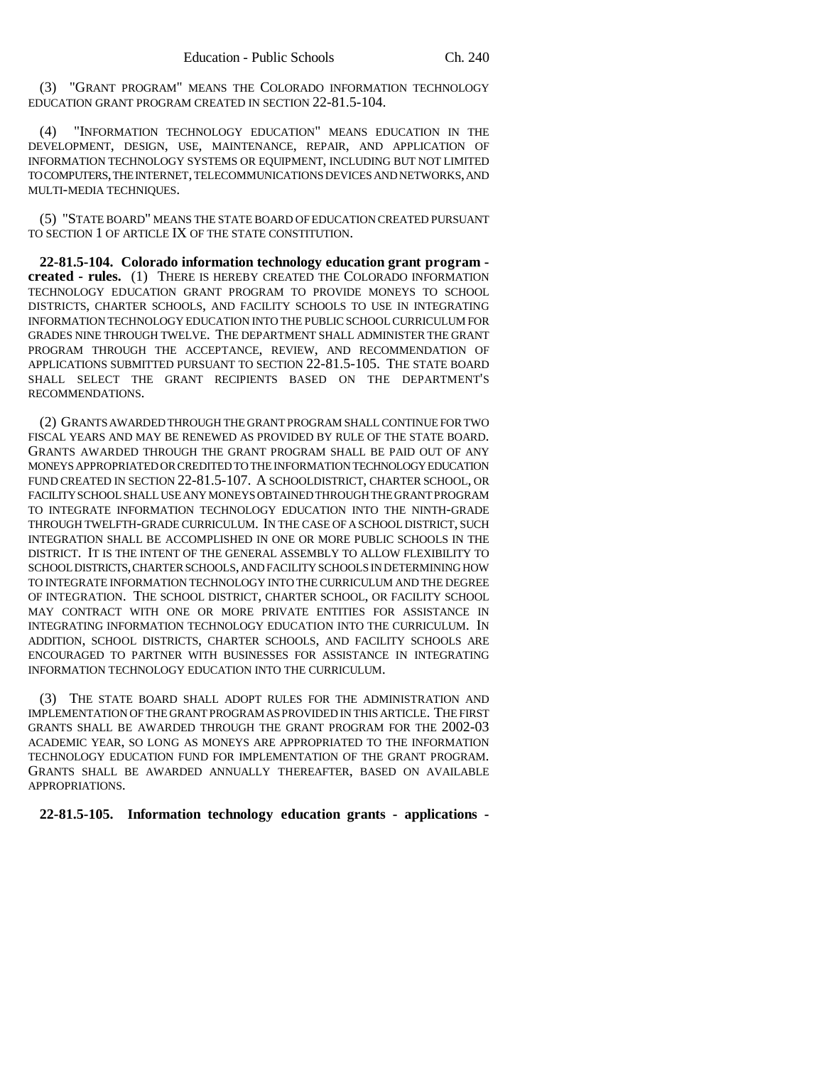(3) "GRANT PROGRAM" MEANS THE COLORADO INFORMATION TECHNOLOGY EDUCATION GRANT PROGRAM CREATED IN SECTION 22-81.5-104.

(4) "INFORMATION TECHNOLOGY EDUCATION" MEANS EDUCATION IN THE DEVELOPMENT, DESIGN, USE, MAINTENANCE, REPAIR, AND APPLICATION OF INFORMATION TECHNOLOGY SYSTEMS OR EQUIPMENT, INCLUDING BUT NOT LIMITED TO COMPUTERS, THE INTERNET, TELECOMMUNICATIONS DEVICES AND NETWORKS, AND MULTI-MEDIA TECHNIQUES.

(5) "STATE BOARD" MEANS THE STATE BOARD OF EDUCATION CREATED PURSUANT TO SECTION 1 OF ARTICLE IX OF THE STATE CONSTITUTION.

**22-81.5-104. Colorado information technology education grant program created - rules.** (1) THERE IS HEREBY CREATED THE COLORADO INFORMATION TECHNOLOGY EDUCATION GRANT PROGRAM TO PROVIDE MONEYS TO SCHOOL DISTRICTS, CHARTER SCHOOLS, AND FACILITY SCHOOLS TO USE IN INTEGRATING INFORMATION TECHNOLOGY EDUCATION INTO THE PUBLIC SCHOOL CURRICULUM FOR GRADES NINE THROUGH TWELVE. THE DEPARTMENT SHALL ADMINISTER THE GRANT PROGRAM THROUGH THE ACCEPTANCE, REVIEW, AND RECOMMENDATION OF APPLICATIONS SUBMITTED PURSUANT TO SECTION 22-81.5-105. THE STATE BOARD SHALL SELECT THE GRANT RECIPIENTS BASED ON THE DEPARTMENT'S RECOMMENDATIONS.

(2) GRANTS AWARDED THROUGH THE GRANT PROGRAM SHALL CONTINUE FOR TWO FISCAL YEARS AND MAY BE RENEWED AS PROVIDED BY RULE OF THE STATE BOARD. GRANTS AWARDED THROUGH THE GRANT PROGRAM SHALL BE PAID OUT OF ANY MONEYS APPROPRIATED OR CREDITED TO THE INFORMATION TECHNOLOGY EDUCATION FUND CREATED IN SECTION 22-81.5-107. A SCHOOLDISTRICT, CHARTER SCHOOL, OR FACILITY SCHOOL SHALL USE ANY MONEYS OBTAINED THROUGH THE GRANT PROGRAM TO INTEGRATE INFORMATION TECHNOLOGY EDUCATION INTO THE NINTH-GRADE THROUGH TWELFTH-GRADE CURRICULUM. IN THE CASE OF A SCHOOL DISTRICT, SUCH INTEGRATION SHALL BE ACCOMPLISHED IN ONE OR MORE PUBLIC SCHOOLS IN THE DISTRICT. IT IS THE INTENT OF THE GENERAL ASSEMBLY TO ALLOW FLEXIBILITY TO SCHOOL DISTRICTS, CHARTER SCHOOLS, AND FACILITY SCHOOLS IN DETERMINING HOW TO INTEGRATE INFORMATION TECHNOLOGY INTO THE CURRICULUM AND THE DEGREE OF INTEGRATION. THE SCHOOL DISTRICT, CHARTER SCHOOL, OR FACILITY SCHOOL MAY CONTRACT WITH ONE OR MORE PRIVATE ENTITIES FOR ASSISTANCE IN INTEGRATING INFORMATION TECHNOLOGY EDUCATION INTO THE CURRICULUM. IN ADDITION, SCHOOL DISTRICTS, CHARTER SCHOOLS, AND FACILITY SCHOOLS ARE ENCOURAGED TO PARTNER WITH BUSINESSES FOR ASSISTANCE IN INTEGRATING INFORMATION TECHNOLOGY EDUCATION INTO THE CURRICULUM.

(3) THE STATE BOARD SHALL ADOPT RULES FOR THE ADMINISTRATION AND IMPLEMENTATION OF THE GRANT PROGRAM AS PROVIDED IN THIS ARTICLE. THE FIRST GRANTS SHALL BE AWARDED THROUGH THE GRANT PROGRAM FOR THE 2002-03 ACADEMIC YEAR, SO LONG AS MONEYS ARE APPROPRIATED TO THE INFORMATION TECHNOLOGY EDUCATION FUND FOR IMPLEMENTATION OF THE GRANT PROGRAM. GRANTS SHALL BE AWARDED ANNUALLY THEREAFTER, BASED ON AVAILABLE APPROPRIATIONS.

**22-81.5-105. Information technology education grants - applications -**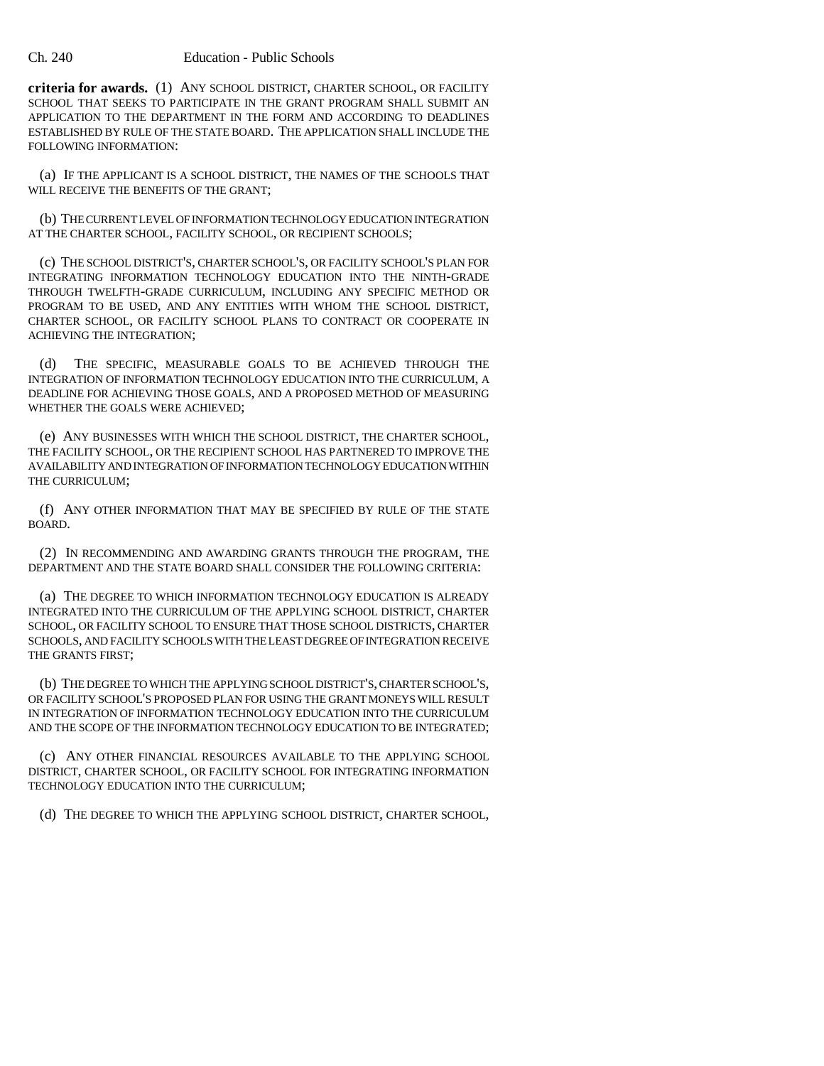#### Ch. 240 Education - Public Schools

**criteria for awards.** (1) ANY SCHOOL DISTRICT, CHARTER SCHOOL, OR FACILITY SCHOOL THAT SEEKS TO PARTICIPATE IN THE GRANT PROGRAM SHALL SUBMIT AN APPLICATION TO THE DEPARTMENT IN THE FORM AND ACCORDING TO DEADLINES ESTABLISHED BY RULE OF THE STATE BOARD. THE APPLICATION SHALL INCLUDE THE FOLLOWING INFORMATION:

(a) IF THE APPLICANT IS A SCHOOL DISTRICT, THE NAMES OF THE SCHOOLS THAT WILL RECEIVE THE BENEFITS OF THE GRANT:

(b) THE CURRENT LEVEL OF INFORMATION TECHNOLOGY EDUCATION INTEGRATION AT THE CHARTER SCHOOL, FACILITY SCHOOL, OR RECIPIENT SCHOOLS;

(c) THE SCHOOL DISTRICT'S, CHARTER SCHOOL'S, OR FACILITY SCHOOL'S PLAN FOR INTEGRATING INFORMATION TECHNOLOGY EDUCATION INTO THE NINTH-GRADE THROUGH TWELFTH-GRADE CURRICULUM, INCLUDING ANY SPECIFIC METHOD OR PROGRAM TO BE USED, AND ANY ENTITIES WITH WHOM THE SCHOOL DISTRICT, CHARTER SCHOOL, OR FACILITY SCHOOL PLANS TO CONTRACT OR COOPERATE IN ACHIEVING THE INTEGRATION;

(d) THE SPECIFIC, MEASURABLE GOALS TO BE ACHIEVED THROUGH THE INTEGRATION OF INFORMATION TECHNOLOGY EDUCATION INTO THE CURRICULUM, A DEADLINE FOR ACHIEVING THOSE GOALS, AND A PROPOSED METHOD OF MEASURING WHETHER THE GOALS WERE ACHIEVED;

(e) ANY BUSINESSES WITH WHICH THE SCHOOL DISTRICT, THE CHARTER SCHOOL, THE FACILITY SCHOOL, OR THE RECIPIENT SCHOOL HAS PARTNERED TO IMPROVE THE AVAILABILITY AND INTEGRATION OF INFORMATION TECHNOLOGY EDUCATION WITHIN THE CURRICULUM;

(f) ANY OTHER INFORMATION THAT MAY BE SPECIFIED BY RULE OF THE STATE BOARD.

(2) IN RECOMMENDING AND AWARDING GRANTS THROUGH THE PROGRAM, THE DEPARTMENT AND THE STATE BOARD SHALL CONSIDER THE FOLLOWING CRITERIA:

(a) THE DEGREE TO WHICH INFORMATION TECHNOLOGY EDUCATION IS ALREADY INTEGRATED INTO THE CURRICULUM OF THE APPLYING SCHOOL DISTRICT, CHARTER SCHOOL, OR FACILITY SCHOOL TO ENSURE THAT THOSE SCHOOL DISTRICTS, CHARTER SCHOOLS, AND FACILITY SCHOOLS WITH THE LEAST DEGREE OF INTEGRATION RECEIVE THE GRANTS FIRST;

(b) THE DEGREE TO WHICH THE APPLYING SCHOOL DISTRICT'S, CHARTER SCHOOL'S, OR FACILITY SCHOOL'S PROPOSED PLAN FOR USING THE GRANT MONEYS WILL RESULT IN INTEGRATION OF INFORMATION TECHNOLOGY EDUCATION INTO THE CURRICULUM AND THE SCOPE OF THE INFORMATION TECHNOLOGY EDUCATION TO BE INTEGRATED;

(c) ANY OTHER FINANCIAL RESOURCES AVAILABLE TO THE APPLYING SCHOOL DISTRICT, CHARTER SCHOOL, OR FACILITY SCHOOL FOR INTEGRATING INFORMATION TECHNOLOGY EDUCATION INTO THE CURRICULUM;

(d) THE DEGREE TO WHICH THE APPLYING SCHOOL DISTRICT, CHARTER SCHOOL,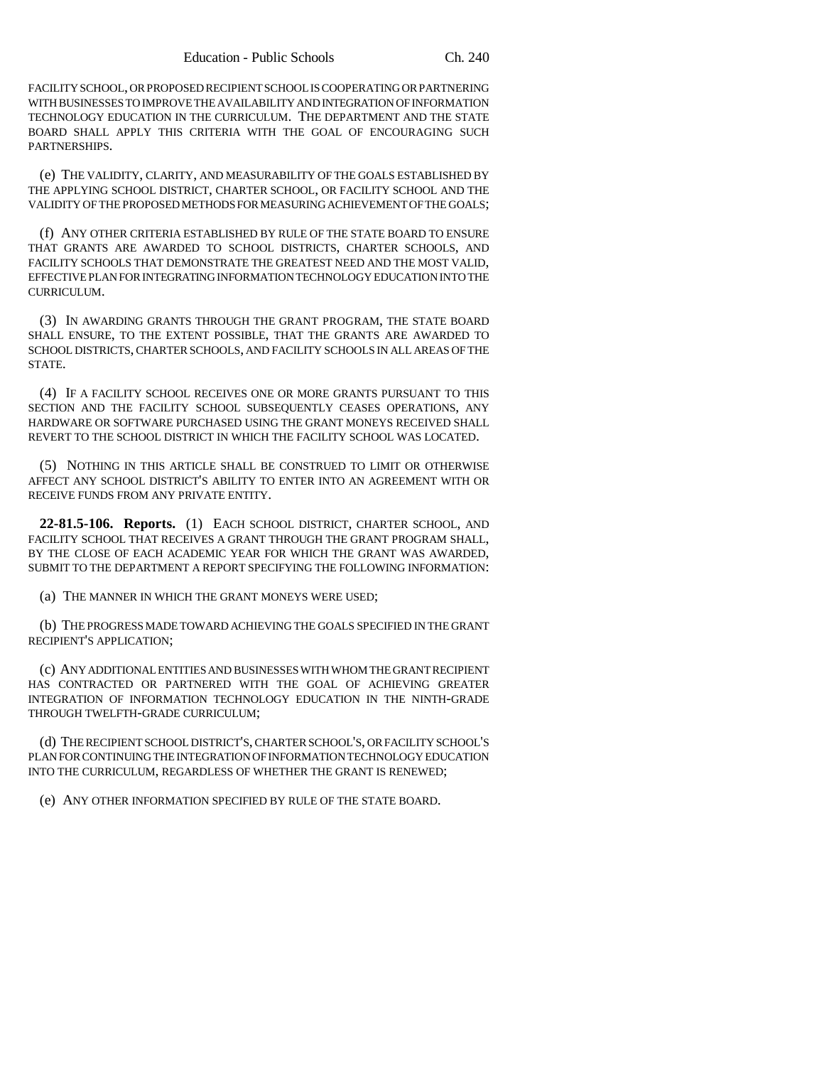FACILITY SCHOOL, OR PROPOSED RECIPIENT SCHOOL IS COOPERATING OR PARTNERING WITH BUSINESSES TO IMPROVE THE AVAILABILITY AND INTEGRATION OF INFORMATION TECHNOLOGY EDUCATION IN THE CURRICULUM. THE DEPARTMENT AND THE STATE BOARD SHALL APPLY THIS CRITERIA WITH THE GOAL OF ENCOURAGING SUCH PARTNERSHIPS.

(e) THE VALIDITY, CLARITY, AND MEASURABILITY OF THE GOALS ESTABLISHED BY THE APPLYING SCHOOL DISTRICT, CHARTER SCHOOL, OR FACILITY SCHOOL AND THE VALIDITY OF THE PROPOSED METHODS FOR MEASURING ACHIEVEMENT OF THE GOALS;

(f) ANY OTHER CRITERIA ESTABLISHED BY RULE OF THE STATE BOARD TO ENSURE THAT GRANTS ARE AWARDED TO SCHOOL DISTRICTS, CHARTER SCHOOLS, AND FACILITY SCHOOLS THAT DEMONSTRATE THE GREATEST NEED AND THE MOST VALID, EFFECTIVE PLAN FOR INTEGRATING INFORMATION TECHNOLOGY EDUCATION INTO THE CURRICULUM.

(3) IN AWARDING GRANTS THROUGH THE GRANT PROGRAM, THE STATE BOARD SHALL ENSURE, TO THE EXTENT POSSIBLE, THAT THE GRANTS ARE AWARDED TO SCHOOL DISTRICTS, CHARTER SCHOOLS, AND FACILITY SCHOOLS IN ALL AREAS OF THE STATE.

(4) IF A FACILITY SCHOOL RECEIVES ONE OR MORE GRANTS PURSUANT TO THIS SECTION AND THE FACILITY SCHOOL SUBSEQUENTLY CEASES OPERATIONS, ANY HARDWARE OR SOFTWARE PURCHASED USING THE GRANT MONEYS RECEIVED SHALL REVERT TO THE SCHOOL DISTRICT IN WHICH THE FACILITY SCHOOL WAS LOCATED.

(5) NOTHING IN THIS ARTICLE SHALL BE CONSTRUED TO LIMIT OR OTHERWISE AFFECT ANY SCHOOL DISTRICT'S ABILITY TO ENTER INTO AN AGREEMENT WITH OR RECEIVE FUNDS FROM ANY PRIVATE ENTITY.

**22-81.5-106. Reports.** (1) EACH SCHOOL DISTRICT, CHARTER SCHOOL, AND FACILITY SCHOOL THAT RECEIVES A GRANT THROUGH THE GRANT PROGRAM SHALL, BY THE CLOSE OF EACH ACADEMIC YEAR FOR WHICH THE GRANT WAS AWARDED, SUBMIT TO THE DEPARTMENT A REPORT SPECIFYING THE FOLLOWING INFORMATION:

(a) THE MANNER IN WHICH THE GRANT MONEYS WERE USED;

(b) THE PROGRESS MADE TOWARD ACHIEVING THE GOALS SPECIFIED IN THE GRANT RECIPIENT'S APPLICATION;

(c) ANY ADDITIONAL ENTITIES AND BUSINESSES WITH WHOM THE GRANT RECIPIENT HAS CONTRACTED OR PARTNERED WITH THE GOAL OF ACHIEVING GREATER INTEGRATION OF INFORMATION TECHNOLOGY EDUCATION IN THE NINTH-GRADE THROUGH TWELFTH-GRADE CURRICULUM;

(d) THE RECIPIENT SCHOOL DISTRICT'S, CHARTER SCHOOL'S, OR FACILITY SCHOOL'S PLAN FOR CONTINUING THE INTEGRATION OF INFORMATION TECHNOLOGY EDUCATION INTO THE CURRICULUM, REGARDLESS OF WHETHER THE GRANT IS RENEWED;

(e) ANY OTHER INFORMATION SPECIFIED BY RULE OF THE STATE BOARD.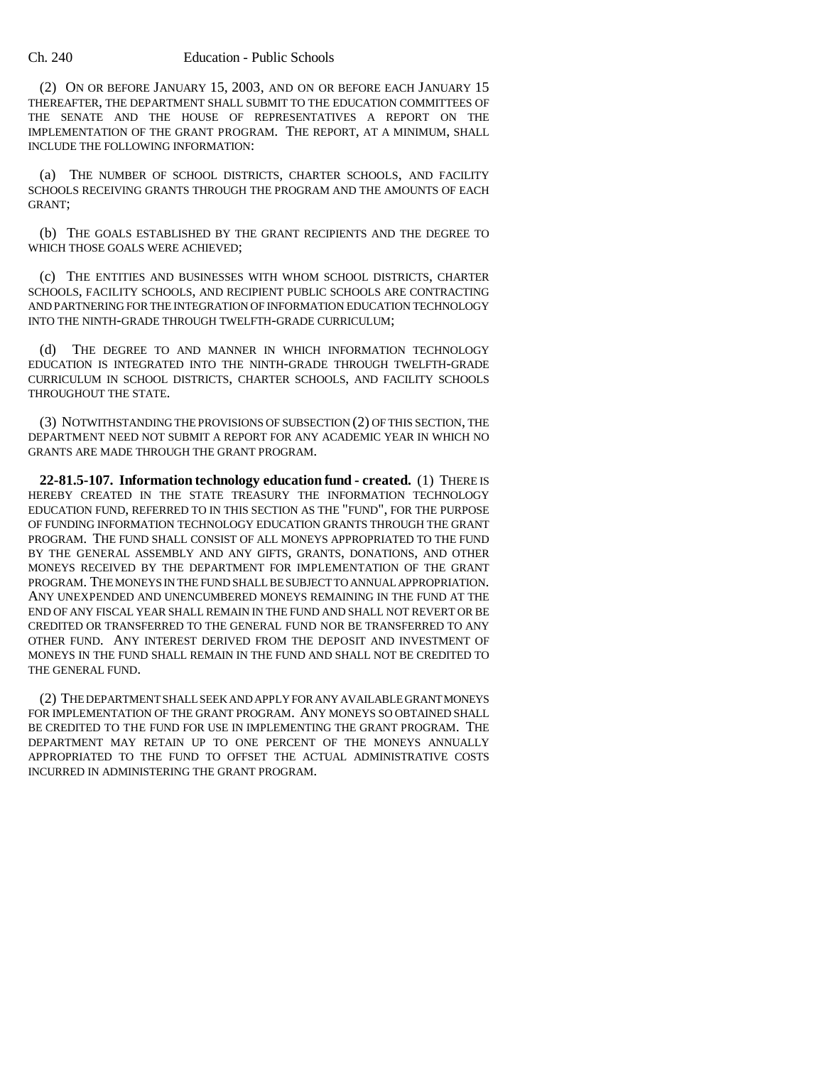#### Ch. 240 Education - Public Schools

(2) ON OR BEFORE JANUARY 15, 2003, AND ON OR BEFORE EACH JANUARY 15 THEREAFTER, THE DEPARTMENT SHALL SUBMIT TO THE EDUCATION COMMITTEES OF THE SENATE AND THE HOUSE OF REPRESENTATIVES A REPORT ON THE IMPLEMENTATION OF THE GRANT PROGRAM. THE REPORT, AT A MINIMUM, SHALL INCLUDE THE FOLLOWING INFORMATION:

(a) THE NUMBER OF SCHOOL DISTRICTS, CHARTER SCHOOLS, AND FACILITY SCHOOLS RECEIVING GRANTS THROUGH THE PROGRAM AND THE AMOUNTS OF EACH GRANT;

(b) THE GOALS ESTABLISHED BY THE GRANT RECIPIENTS AND THE DEGREE TO WHICH THOSE GOALS WERE ACHIEVED;

(c) THE ENTITIES AND BUSINESSES WITH WHOM SCHOOL DISTRICTS, CHARTER SCHOOLS, FACILITY SCHOOLS, AND RECIPIENT PUBLIC SCHOOLS ARE CONTRACTING AND PARTNERING FOR THE INTEGRATION OF INFORMATION EDUCATION TECHNOLOGY INTO THE NINTH-GRADE THROUGH TWELFTH-GRADE CURRICULUM;

(d) THE DEGREE TO AND MANNER IN WHICH INFORMATION TECHNOLOGY EDUCATION IS INTEGRATED INTO THE NINTH-GRADE THROUGH TWELFTH-GRADE CURRICULUM IN SCHOOL DISTRICTS, CHARTER SCHOOLS, AND FACILITY SCHOOLS THROUGHOUT THE STATE.

(3) NOTWITHSTANDING THE PROVISIONS OF SUBSECTION (2) OF THIS SECTION, THE DEPARTMENT NEED NOT SUBMIT A REPORT FOR ANY ACADEMIC YEAR IN WHICH NO GRANTS ARE MADE THROUGH THE GRANT PROGRAM.

**22-81.5-107. Information technology education fund - created.** (1) THERE IS HEREBY CREATED IN THE STATE TREASURY THE INFORMATION TECHNOLOGY EDUCATION FUND, REFERRED TO IN THIS SECTION AS THE "FUND", FOR THE PURPOSE OF FUNDING INFORMATION TECHNOLOGY EDUCATION GRANTS THROUGH THE GRANT PROGRAM. THE FUND SHALL CONSIST OF ALL MONEYS APPROPRIATED TO THE FUND BY THE GENERAL ASSEMBLY AND ANY GIFTS, GRANTS, DONATIONS, AND OTHER MONEYS RECEIVED BY THE DEPARTMENT FOR IMPLEMENTATION OF THE GRANT PROGRAM. THE MONEYS IN THE FUND SHALL BE SUBJECT TO ANNUAL APPROPRIATION. ANY UNEXPENDED AND UNENCUMBERED MONEYS REMAINING IN THE FUND AT THE END OF ANY FISCAL YEAR SHALL REMAIN IN THE FUND AND SHALL NOT REVERT OR BE CREDITED OR TRANSFERRED TO THE GENERAL FUND NOR BE TRANSFERRED TO ANY OTHER FUND. ANY INTEREST DERIVED FROM THE DEPOSIT AND INVESTMENT OF MONEYS IN THE FUND SHALL REMAIN IN THE FUND AND SHALL NOT BE CREDITED TO THE GENERAL FUND.

(2) THE DEPARTMENT SHALL SEEK AND APPLY FOR ANY AVAILABLE GRANT MONEYS FOR IMPLEMENTATION OF THE GRANT PROGRAM. ANY MONEYS SO OBTAINED SHALL BE CREDITED TO THE FUND FOR USE IN IMPLEMENTING THE GRANT PROGRAM. THE DEPARTMENT MAY RETAIN UP TO ONE PERCENT OF THE MONEYS ANNUALLY APPROPRIATED TO THE FUND TO OFFSET THE ACTUAL ADMINISTRATIVE COSTS INCURRED IN ADMINISTERING THE GRANT PROGRAM.